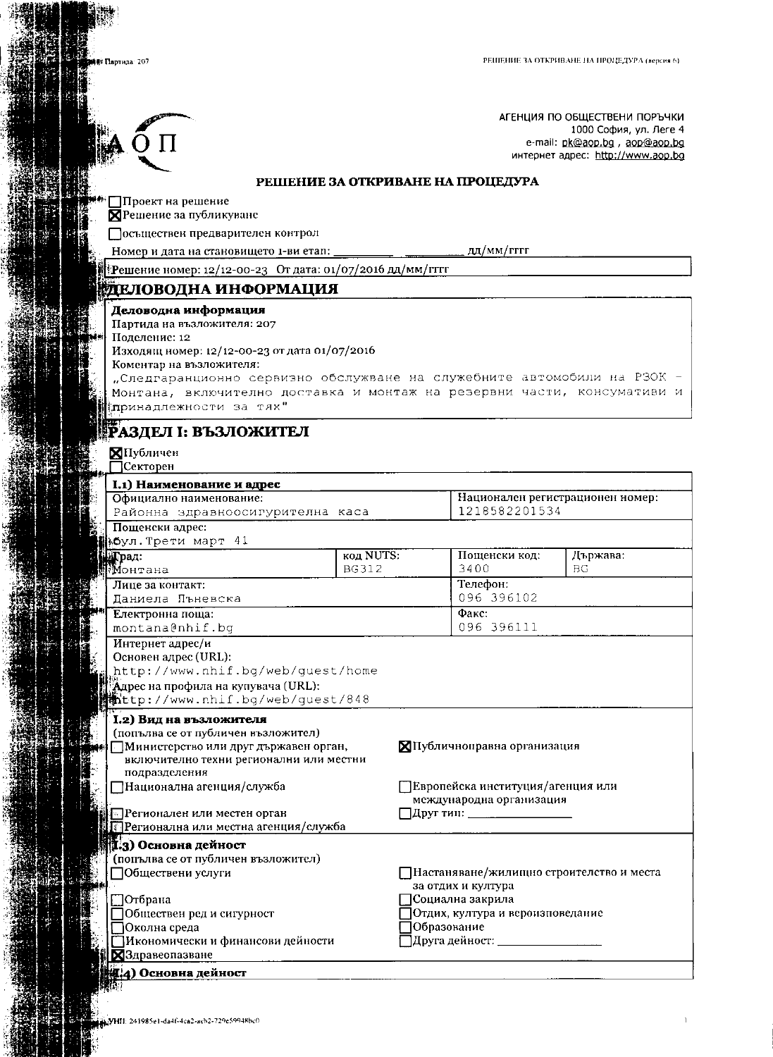¶<sup>†</sup> Партида: 207

АГЕНЦИЯ ПО ОБЩЕСТВЕНИ ПОРЪЧКИ 1000 София, ул. Леге 4 e-mail: pk@aop.bg , aop@aop.bg интернет адрес: http://www.aop.bq

### РЕШЕНИЕ ЗА ОТКРИВАНЕ НА ПРОЦЕДУРА

Проект на решение

ΟП

Прешение за публикуване

Посъществен предварителен контрол

Номер и дата на становището 1-ви етап:

дд/мм/гггг

Решение номер: 12/12-00-23 От дата: 01/07/2016 дд/мм/гггг

## ДЕЛОВОДНА ИНФОРМАЦИЯ

#### Деловодна информация

Партида на възложителя: 207

Поделение: 12

Изходящ номер: 12/12-00-23 от дата 01/07/2016

Коментар на възложителя:

"Следгаранционно сервизно обслужване на служебните автомобили на РЗОК -Монтана, включително доставка и монтаж на резервни части, консумативи и принадлежности за тях"

## ўаздел і: възложител

ХПубличен  $5000$ 

|                                   | $\leftarrow$                                                                                                    |                                  |                                    |                                  |                                          |  |  |
|-----------------------------------|-----------------------------------------------------------------------------------------------------------------|----------------------------------|------------------------------------|----------------------------------|------------------------------------------|--|--|
| I.1) Наименование и адрес         |                                                                                                                 |                                  |                                    |                                  |                                          |  |  |
|                                   | Официално наименование:                                                                                         | Национален регистрационен номер: |                                    |                                  |                                          |  |  |
|                                   | Районна здравноосигурителна каса                                                                                |                                  | 1218582201534                      |                                  |                                          |  |  |
|                                   | Пощенски адрес:                                                                                                 |                                  |                                    |                                  |                                          |  |  |
|                                   | <b>Юул.</b> Трети март 41                                                                                       |                                  |                                    |                                  |                                          |  |  |
|                                   | Прад:                                                                                                           | код NUTS:                        |                                    | Пощенски код:                    | Държава:                                 |  |  |
|                                   | ¦Монтана                                                                                                        | <b>BG312</b>                     |                                    | 3400                             | <b>BG</b>                                |  |  |
|                                   | Лице за контакт:                                                                                                |                                  | Телефон:                           |                                  |                                          |  |  |
|                                   | Даниела Пъневска                                                                                                |                                  | 096 396102                         |                                  |                                          |  |  |
| HM                                | Електронна поща:                                                                                                |                                  |                                    | Факс:                            |                                          |  |  |
|                                   | montana@nhif.bq                                                                                                 |                                  |                                    | 096 396111                       |                                          |  |  |
| Интернет адрес/и                  |                                                                                                                 |                                  |                                    |                                  |                                          |  |  |
|                                   | Основен адрес (URL):                                                                                            |                                  |                                    |                                  |                                          |  |  |
| http://www.nhif.bg/web/guest/home |                                                                                                                 |                                  |                                    |                                  |                                          |  |  |
|                                   | Адрес на профила на купувача (URL):<br><b>講話とtp://www.nhif.bg/web/quest/848</b>                                 |                                  |                                    |                                  |                                          |  |  |
|                                   |                                                                                                                 |                                  |                                    |                                  |                                          |  |  |
|                                   | I.2) Вид на възложителя                                                                                         |                                  |                                    |                                  |                                          |  |  |
|                                   | (попълва се от публичен възложител)                                                                             |                                  |                                    |                                  |                                          |  |  |
|                                   | ПМинистерство или друг държавен орган,<br>включително техни регионални или местни                               |                                  | Публичноправна организация         |                                  |                                          |  |  |
| ć.                                |                                                                                                                 |                                  |                                    |                                  |                                          |  |  |
|                                   | подразделения                                                                                                   |                                  |                                    |                                  |                                          |  |  |
|                                   | ∏Национална агенция/служба                                                                                      |                                  | ]Европейска институция/агенция или |                                  |                                          |  |  |
|                                   | международна организация<br><b>• Регионален или местен орган</b><br><b>Perионална или местна агенция/служба</b> |                                  |                                    |                                  |                                          |  |  |
|                                   |                                                                                                                 |                                  |                                    |                                  |                                          |  |  |
|                                   |                                                                                                                 |                                  |                                    |                                  |                                          |  |  |
|                                   | 1.3) Основна дейност                                                                                            |                                  |                                    |                                  |                                          |  |  |
|                                   | (попълва се от публичен възложител)<br>∏Обществени услуги                                                       |                                  |                                    |                                  | Настаняване/жилищно строителство и места |  |  |
| ₿¢                                |                                                                                                                 |                                  |                                    | за отдих и култура               |                                          |  |  |
|                                   | <b>]Отбрана</b>                                                                                                 |                                  |                                    | ]Социална закрила                |                                          |  |  |
|                                   | ]Обществен ред и сигурност                                                                                      |                                  |                                    | Отдих, култура и вероизповедание |                                          |  |  |
|                                   | ]Околна среда                                                                                                   |                                  | Образование                        |                                  |                                          |  |  |
|                                   | ПИ кономически и финансови дейности                                                                             |                                  |                                    | Друга дейност: ________________  |                                          |  |  |
|                                   | <b>X</b> Здравеопазване                                                                                         |                                  |                                    |                                  |                                          |  |  |
|                                   | <u>##:4) Основна</u> дейност                                                                                    |                                  |                                    |                                  |                                          |  |  |
|                                   |                                                                                                                 |                                  |                                    |                                  |                                          |  |  |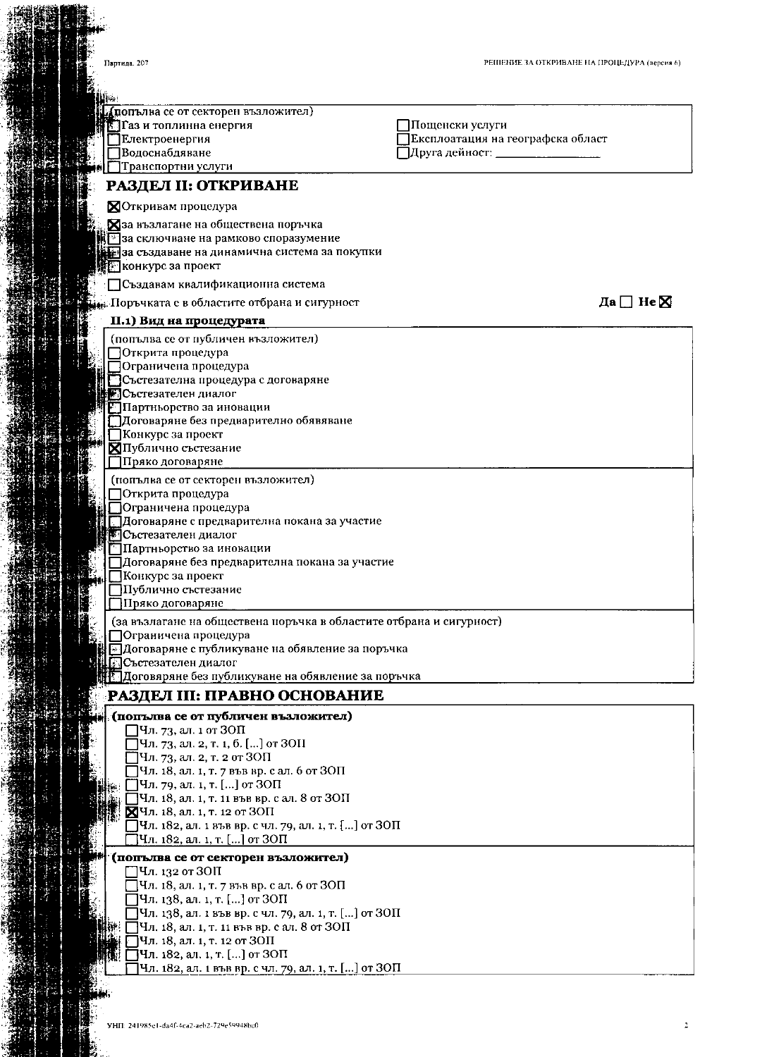|  | Партида. 207                                                                                  | РЕШЕНИЕ ЗА ОТКРИВАНЕ НА ПРОЦЕДУРА (версия 6)                           |
|--|-----------------------------------------------------------------------------------------------|------------------------------------------------------------------------|
|  |                                                                                               |                                                                        |
|  |                                                                                               |                                                                        |
|  | попълва се от секторен възложител)                                                            |                                                                        |
|  | <mark>∶</mark> ]Газ и топлинна енергия                                                        | ]Пощенски услуги                                                       |
|  | <b>]Електроенергия</b><br><b>Водоснабдяване</b>                                               | Експлоатация на географска област<br> Друга дейност: _________________ |
|  | Транспортни услуги                                                                            |                                                                        |
|  |                                                                                               |                                                                        |
|  | РАЗДЕЛ II: ОТКРИВАНЕ                                                                          |                                                                        |
|  | <b>NOTKPHBAM</b> процедура                                                                    |                                                                        |
|  | Хза възлагане на обществена поръчка                                                           |                                                                        |
|  | В за сключване на рамково споразумение                                                        |                                                                        |
|  | за създаване на динамична система за покупки                                                  |                                                                        |
|  | <b>В</b> конкурс за проект                                                                    |                                                                        |
|  | Създавам квалификационна система                                                              |                                                                        |
|  | <br>Поръчката е в областите отбрана и сигурност                                               | Да $\square$ Не $\boxtimes$                                            |
|  | II.1) Вид на процедурата                                                                      |                                                                        |
|  | (попълва се от публичен възложител)                                                           |                                                                        |
|  | ∃Открита процедура                                                                            |                                                                        |
|  | □ Ограничена процедура                                                                        |                                                                        |
|  | ⊡Състезателна процедура с договаряне                                                          |                                                                        |
|  | <b>В</b> Състезателен диалог                                                                  |                                                                        |
|  | <b>• Партньорство за иновации</b>                                                             |                                                                        |
|  | Договаряне без предварително обявяване<br>Конкурс за проект                                   |                                                                        |
|  | <b>X</b> Публично състезание                                                                  |                                                                        |
|  | Пряко договаряне                                                                              |                                                                        |
|  | (попълва се от секторен възложител)                                                           |                                                                        |
|  | Открита процедура                                                                             |                                                                        |
|  | ]Ограничена процедура                                                                         |                                                                        |
|  | Договаряне с предварителна покана за участие                                                  |                                                                        |
|  | • Състезателен диалог                                                                         |                                                                        |
|  | Партньорство за иновации<br>]Договаряне без предварителна покана за участие                   |                                                                        |
|  | ]Конкурс за проект                                                                            |                                                                        |
|  | Публично състезание                                                                           |                                                                        |
|  | Пряко договаряне                                                                              |                                                                        |
|  | (за възлагане на обществена поръчка в областите отбрана и сигурност)                          |                                                                        |
|  | Ограничена процедура                                                                          |                                                                        |
|  | П Договаряне с публикуване на обявление за поръчка<br><b>П</b> Състезателен диалог            |                                                                        |
|  | Плоговяряне без публикуване на обявление за поръчка                                           |                                                                        |
|  | РАЗДЕЛ III: ПРАВНО ОСНОВАНИЕ                                                                  |                                                                        |
|  |                                                                                               |                                                                        |
|  | (попълва се от публичен възложител)<br>Чл. 73, ал. 1 от ЗОП                                   |                                                                        |
|  | Чл. 73, ал. 2, т. 1, б. [] от ЗОП                                                             |                                                                        |
|  | Чл. 73, ал. 2, т. 2 от ЗОП                                                                    |                                                                        |
|  | Чл. 18, ал. 1, т. 7 във вр. с ал. 6 от ЗОП                                                    |                                                                        |
|  | ∏Чл. 79, ал. 1, т. [] от ЗОП                                                                  |                                                                        |
|  | Чл. 18, ал. 1, т. 11 във вр. с ал. 8 от ЗОП                                                   |                                                                        |
|  | <b>У</b> Чл. 18, ал. 1, т. 12 от ЗОП<br> Чл. 182, ал. 1 във вр. с чл. 79, ал. 1, т. [] от ЗОП |                                                                        |
|  | Чл. 182, ал. 1, т. [] от ЗОП                                                                  |                                                                        |
|  | (попълва се от секторен възложител)                                                           |                                                                        |
|  | Чл. 132 от ЗОП                                                                                |                                                                        |
|  | Чл. 18, ал. 1, т. 7 във вр. с ал. 6 от ЗОП                                                    |                                                                        |
|  | Чл. 138, ал. 1, т. [] от ЗОП                                                                  |                                                                        |
|  | Чл. 138, ал. 1 във вр. с чл. 79, ал. 1, т. [] от ЗОП                                          |                                                                        |
|  | Чл. 18, ал. 1, т. 11 във вр. с ал. 8 от ЗОП<br>Чл. 18, ал. 1, т. 12 от ЗОП                    |                                                                        |
|  | Чл. 182, ал. 1, т. [] от ЗОП                                                                  |                                                                        |
|  | Чл. 182, ал. 1 във вр. с чл. 79, ал. 1, т. [] от ЗОП                                          |                                                                        |

爵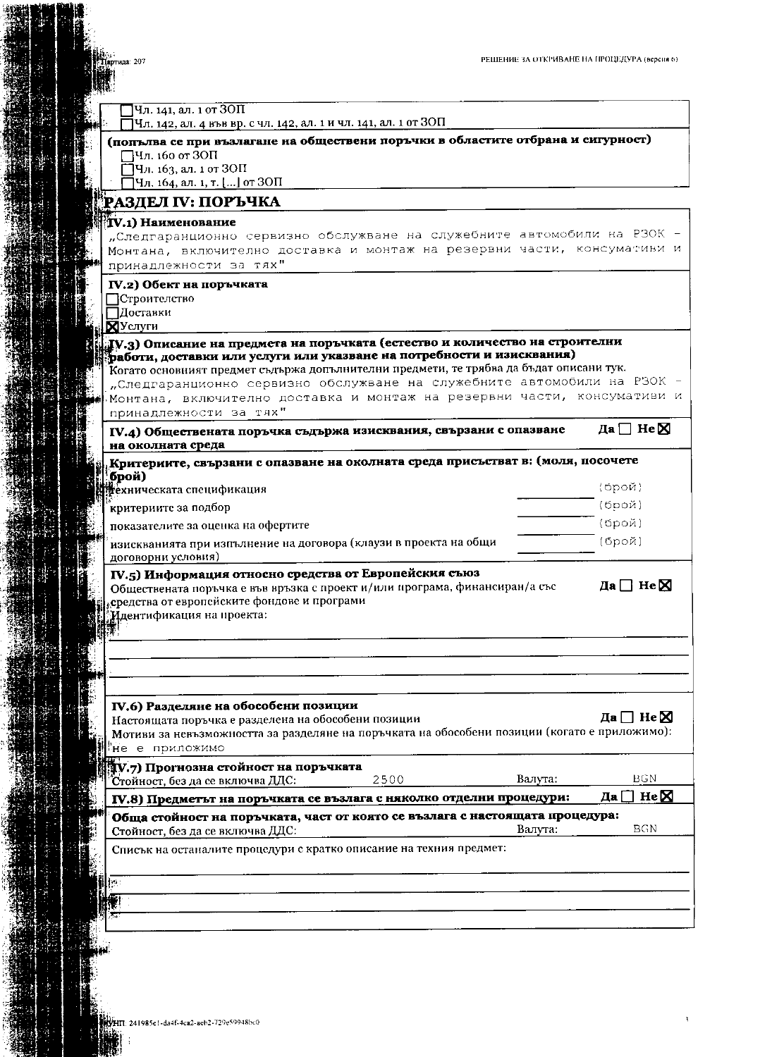| РЕШЕНИЕ ЗА ОТКРИВАНЕ НА ПРОЦЕДУРА (версия 6)<br>.<br>pruna: 207                                                          |                 |
|--------------------------------------------------------------------------------------------------------------------------|-----------------|
|                                                                                                                          |                 |
| Чл. 141, ал. 1 от ЗОП<br>Чл. 142, ал. 4 във вр. с чл. 142, ал. 1 и чл. 141, ал. 1 от ЗОП                                 |                 |
| (попълва се при възлагане на обществени поръчки в областите отбрана и сигурност)                                         |                 |
| Чл. 160 от $30\Pi$                                                                                                       |                 |
| Чл. 163, ал. 1 от ЗОП                                                                                                    |                 |
| Чл. 164, ал. 1, т. [] от ЗОП                                                                                             |                 |
| РАЗДЕЛ IV: ПОРЪЧКА                                                                                                       |                 |
| IV.1) Наименование                                                                                                       |                 |
| "Следгаранционно сервизно обслужване на служебните автомобили на РЗОК -                                                  |                 |
| Монтана, включително доставка и монтаж на резервни части, консумативи и                                                  |                 |
| принадлежности за тях"                                                                                                   |                 |
| IV.2) Обект на поръчката                                                                                                 |                 |
| Строителство                                                                                                             |                 |
| <b>П</b> оставки                                                                                                         |                 |
| <b>X</b> Услуги<br>JV.3) Описание на предмета на поръчката (естество и количество на строителни                          |                 |
| работи, доставки или услуги или указване на потребности и изисквания)                                                    |                 |
| Когато основният предмет съдържа допълнителни предмети, те трябва да бъдат описани тук.                                  |                 |
| "Следгаранционно сервизно обслужване на служебните автомобили на РЗОК                                                    |                 |
| Монтана, включително доставка и монтаж на резервни части, консумативи и                                                  |                 |
| принадлежности за тях"                                                                                                   |                 |
| Да $\square$ Не $\square$<br>IV.4) Обществената поръчка съдържа изисквания, свързани с опазване                          |                 |
| на околната среда                                                                                                        |                 |
| Критериите, свързани с опазване на околната среда присъстват в: (моля, посочете                                          |                 |
| брой)                                                                                                                    |                 |
| (брой)<br><b>технич</b> еската спецификация                                                                              |                 |
| (брой)<br>критериите за подбор                                                                                           |                 |
| (брой)<br>показателите за оценка на офертите                                                                             |                 |
| (брой)<br>изискванията при изпълнение на договора (клаузи в проекта на общи                                              |                 |
| договорни условия)                                                                                                       |                 |
| IV.5) Информация относно средства от Европейския съюз                                                                    |                 |
| Да□Не⊠<br>Обществената поръчка е във връзка с проект и/или програма, финансиран/а със                                    |                 |
| средства от европейските фондове и програми                                                                              |                 |
| Идентификация на проекта:                                                                                                |                 |
|                                                                                                                          |                 |
|                                                                                                                          |                 |
|                                                                                                                          |                 |
|                                                                                                                          |                 |
|                                                                                                                          |                 |
| IV.6) Разделяне на обособени позиции<br>Да $\square$ Не $\square$<br>Настоящата поръчка е разделена на обособени позиции |                 |
| Мотиви за невъзможността за разделяне на поръчката на обособени позиции (когато е приложимо):                            |                 |
| не е приложимо                                                                                                           |                 |
| V.7) Прогнозна стойност на поръчката                                                                                     |                 |
| BGN<br>Валута:<br>2500<br>Стойност, без да се включва ДДС.                                                               |                 |
| Да<br>IV.8) Предметът на поръчката се възлага с няколко отделни процедури:                                               | He <sub>N</sub> |
|                                                                                                                          |                 |
| Обща стойност на поръчката, част от която се възлага с настоящата процедура:<br>BGN<br>Валута:                           |                 |
| Стойност, без да се включва ДДС:                                                                                         |                 |
| Списък на останалите процедури с кратко описание на техния предмет:                                                      |                 |
|                                                                                                                          |                 |
|                                                                                                                          |                 |
|                                                                                                                          |                 |
|                                                                                                                          |                 |
|                                                                                                                          |                 |
|                                                                                                                          |                 |

 $\frac{1}{2}$  .

開

ą

п,

● 神話の話にも

I

播

ť.

Ń

Ă

á

斟

J.

Ĩ

Ĵ,

ال<br>أناسيا

85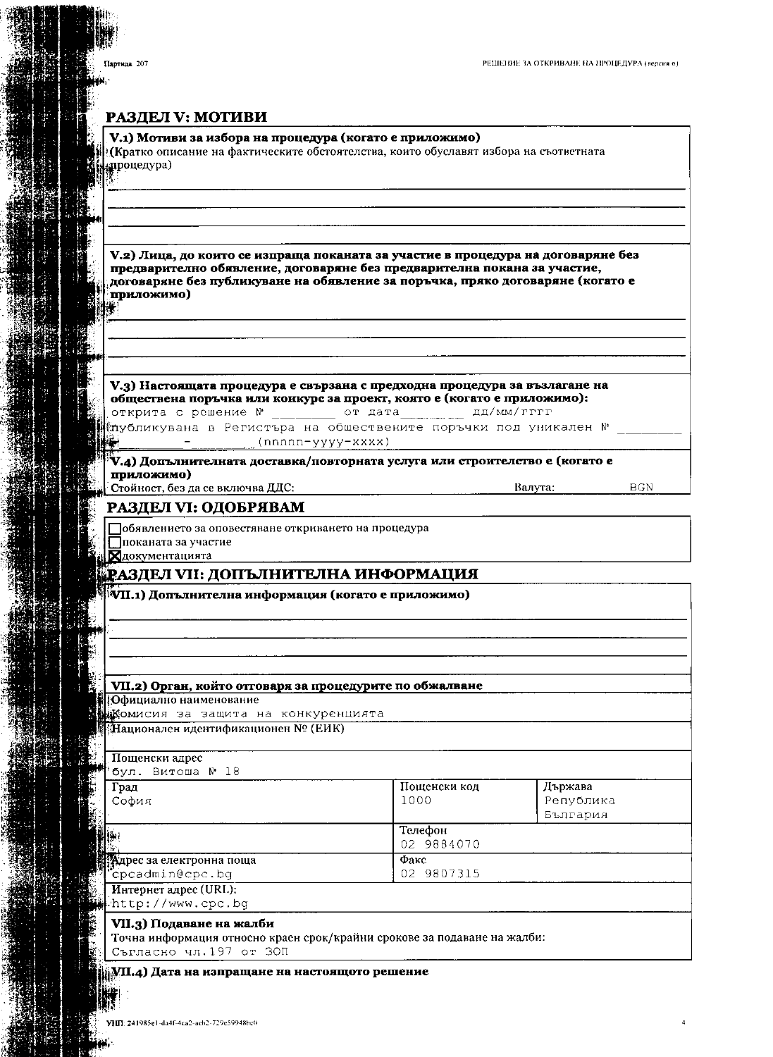$\ddot{\phantom{1}}$ 

93 艳

 $\frac{1}{4}$ 

j

Ä

Þ 矋

**And** 

# РАЗДЕЛ V: МОТИВИ

| V.2) Лица, до които се изпраща поканата за участие в процедура на договаряне без<br>предварително обявление, договаряне без предварителна покана за участие,<br>договаряне без публикуване на обявление за поръчка, пряко договаряне (когато е<br>приложимо) |                              |                                  |     |
|--------------------------------------------------------------------------------------------------------------------------------------------------------------------------------------------------------------------------------------------------------------|------------------------------|----------------------------------|-----|
|                                                                                                                                                                                                                                                              |                              |                                  |     |
| V.3) Настоящата процедура е свързана с предходна процедура за възлагане на<br>обществена поръчка или конкурс за проект, която е (когато е приложимо):<br>открита с решение N°                                                                                | от дата _________ дд/мм/гггг |                                  |     |
| Итубликувана в Регистъра на обществените поръчки под уникален №<br>(nnnnn-yyyy-xxxx)                                                                                                                                                                         |                              |                                  |     |
| .<br>V.4) Допълнителната доставка/повторната услуга или строителство е (когато е                                                                                                                                                                             |                              |                                  |     |
| приложимо)<br>Стойност, без да се включва ДДС:                                                                                                                                                                                                               |                              | Валута:                          | BGN |
| РАЗДЕЛ VI: ОДОБРЯВАМ                                                                                                                                                                                                                                         |                              |                                  |     |
| WII.1) Допълнителна информация (когато е приложимо)                                                                                                                                                                                                          |                              |                                  |     |
|                                                                                                                                                                                                                                                              |                              |                                  |     |
|                                                                                                                                                                                                                                                              |                              |                                  |     |
|                                                                                                                                                                                                                                                              |                              |                                  |     |
|                                                                                                                                                                                                                                                              |                              |                                  |     |
| VII.2) Орган, който отговаря за процедурите по обжалване                                                                                                                                                                                                     |                              |                                  |     |
| ПОфициално наименование<br><b>Деникомисия</b> за защита на конкуренцията<br>" <sup>М</sup> {Национален идентификационен № (ЕИК)                                                                                                                              |                              |                                  |     |
|                                                                                                                                                                                                                                                              |                              |                                  |     |
| Пощенски адрес                                                                                                                                                                                                                                               |                              |                                  |     |
| Витоша № 18<br>бул.<br>Град<br>София                                                                                                                                                                                                                         | Пощенски код<br>1000         | Държава<br>Република<br>България |     |
|                                                                                                                                                                                                                                                              | Телефон                      |                                  |     |
|                                                                                                                                                                                                                                                              | 02 9884070<br>Факс           |                                  |     |
| cpcadmin@cpc.bg                                                                                                                                                                                                                                              | 02 9807315                   |                                  |     |
| Интернет адрес (URL):                                                                                                                                                                                                                                        |                              |                                  |     |
| <b>ПАДрес за електронна поща</b><br>Интернет адрес (URL):<br>http://www.cpc.bg<br>VII.3) Подаване на жа.<br>Toчна информация относ<br>Съгласно чл.197 от<br>VII.3) Подаване на жалби                                                                         |                              |                                  |     |